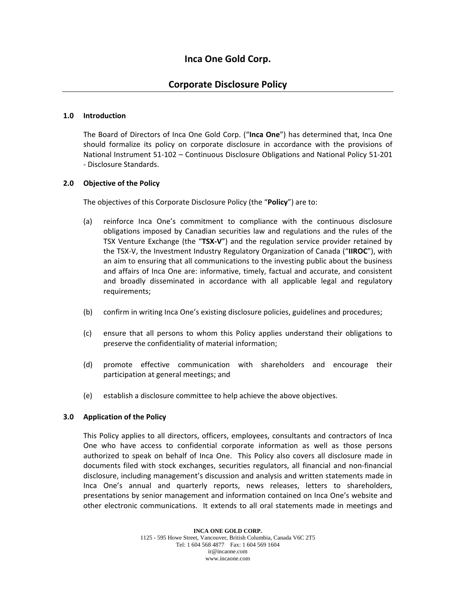# **Corporate Disclosure Policy**

# **1.0 Introduction**

The Board of Directors of Inca One Gold Corp. ("**Inca One**") has determined that, Inca One should formalize its policy on corporate disclosure in accordance with the provisions of National Instrument 51‐102 – Continuous Disclosure Obligations and National Policy 51‐201 ‐ Disclosure Standards.

# **2.0 Objective of the Policy**

The objectives of this Corporate Disclosure Policy (the "**Policy**") are to:

- (a) reinforce Inca One's commitment to compliance with the continuous disclosure obligations imposed by Canadian securities law and regulations and the rules of the TSX Venture Exchange (the "**TSX‐V**") and the regulation service provider retained by the TSX‐V, the Investment Industry Regulatory Organization of Canada ("**IIROC**"), with an aim to ensuring that all communications to the investing public about the business and affairs of Inca One are: informative, timely, factual and accurate, and consistent and broadly disseminated in accordance with all applicable legal and regulatory requirements;
- (b) confirm in writing Inca One's existing disclosure policies, guidelines and procedures;
- (c) ensure that all persons to whom this Policy applies understand their obligations to preserve the confidentiality of material information;
- (d) promote effective communication with shareholders and encourage their participation at general meetings; and
- (e) establish a disclosure committee to help achieve the above objectives.

### **3.0 Application of the Policy**

This Policy applies to all directors, officers, employees, consultants and contractors of Inca One who have access to confidential corporate information as well as those persons authorized to speak on behalf of Inca One. This Policy also covers all disclosure made in documents filed with stock exchanges, securities regulators, all financial and non‐financial disclosure, including management's discussion and analysis and written statements made in Inca One's annual and quarterly reports, news releases, letters to shareholders, presentations by senior management and information contained on Inca One's website and other electronic communications. It extends to all oral statements made in meetings and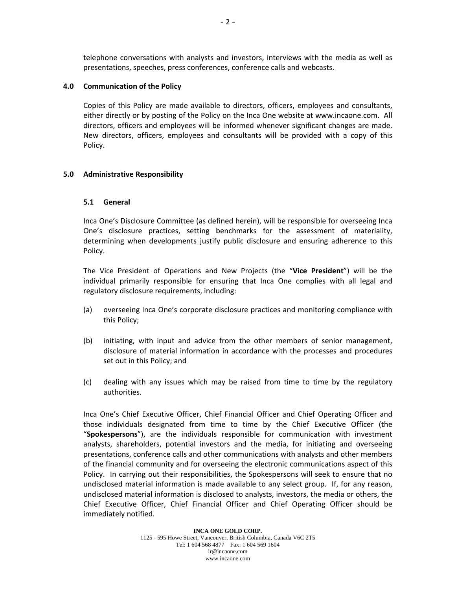telephone conversations with analysts and investors, interviews with the media as well as presentations, speeches, press conferences, conference calls and webcasts.

# **4.0 Communication of the Policy**

Copies of this Policy are made available to directors, officers, employees and consultants, either directly or by posting of the Policy on the Inca One website at www.incaone.com. All directors, officers and employees will be informed whenever significant changes are made. New directors, officers, employees and consultants will be provided with a copy of this Policy.

# **5.0 Administrative Responsibility**

# **5.1 General**

Inca One's Disclosure Committee (as defined herein), will be responsible for overseeing Inca One's disclosure practices, setting benchmarks for the assessment of materiality, determining when developments justify public disclosure and ensuring adherence to this Policy.

The Vice President of Operations and New Projects (the "**Vice President**") will be the individual primarily responsible for ensuring that Inca One complies with all legal and regulatory disclosure requirements, including:

- (a) overseeing Inca One's corporate disclosure practices and monitoring compliance with this Policy;
- (b) initiating, with input and advice from the other members of senior management, disclosure of material information in accordance with the processes and procedures set out in this Policy; and
- (c) dealing with any issues which may be raised from time to time by the regulatory authorities.

Inca One's Chief Executive Officer, Chief Financial Officer and Chief Operating Officer and those individuals designated from time to time by the Chief Executive Officer (the "**Spokespersons**"), are the individuals responsible for communication with investment analysts, shareholders, potential investors and the media, for initiating and overseeing presentations, conference calls and other communications with analysts and other members of the financial community and for overseeing the electronic communications aspect of this Policy. In carrying out their responsibilities, the Spokespersons will seek to ensure that no undisclosed material information is made available to any select group. If, for any reason, undisclosed material information is disclosed to analysts, investors, the media or others, the Chief Executive Officer, Chief Financial Officer and Chief Operating Officer should be immediately notified.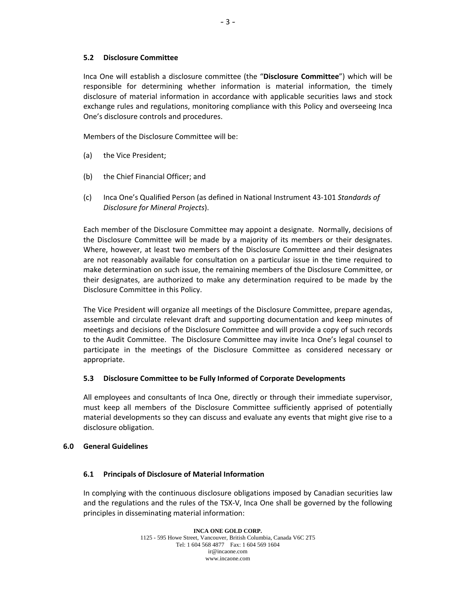# **5.2 Disclosure Committee**

Inca One will establish a disclosure committee (the "**Disclosure Committee**") which will be responsible for determining whether information is material information, the timely disclosure of material information in accordance with applicable securities laws and stock exchange rules and regulations, monitoring compliance with this Policy and overseeing Inca One's disclosure controls and procedures.

Members of the Disclosure Committee will be:

- (a) the Vice President;
- (b) the Chief Financial Officer; and
- (c) Inca One's Qualified Person (as defined in National Instrument 43‐101 *Standards of Disclosure for Mineral Projects*).

Each member of the Disclosure Committee may appoint a designate. Normally, decisions of the Disclosure Committee will be made by a majority of its members or their designates. Where, however, at least two members of the Disclosure Committee and their designates are not reasonably available for consultation on a particular issue in the time required to make determination on such issue, the remaining members of the Disclosure Committee, or their designates, are authorized to make any determination required to be made by the Disclosure Committee in this Policy.

The Vice President will organize all meetings of the Disclosure Committee, prepare agendas, assemble and circulate relevant draft and supporting documentation and keep minutes of meetings and decisions of the Disclosure Committee and will provide a copy of such records to the Audit Committee. The Disclosure Committee may invite Inca One's legal counsel to participate in the meetings of the Disclosure Committee as considered necessary or appropriate.

### **5.3 Disclosure Committee to be Fully Informed of Corporate Developments**

All employees and consultants of Inca One, directly or through their immediate supervisor, must keep all members of the Disclosure Committee sufficiently apprised of potentially material developments so they can discuss and evaluate any events that might give rise to a disclosure obligation.

### **6.0 General Guidelines**

# **6.1 Principals of Disclosure of Material Information**

In complying with the continuous disclosure obligations imposed by Canadian securities law and the regulations and the rules of the TSX‐V, Inca One shall be governed by the following principles in disseminating material information: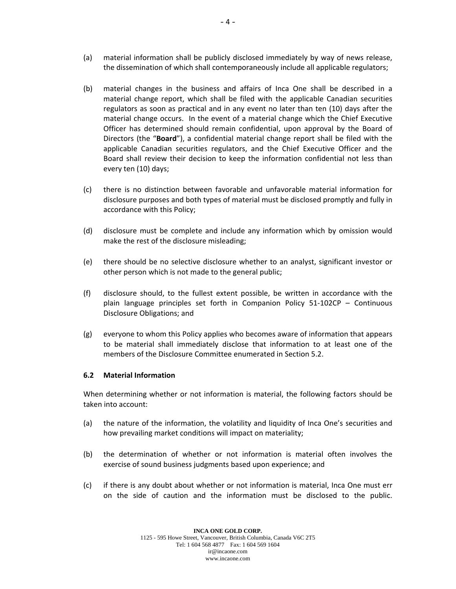- (a) material information shall be publicly disclosed immediately by way of news release, the dissemination of which shall contemporaneously include all applicable regulators;
- (b) material changes in the business and affairs of Inca One shall be described in a material change report, which shall be filed with the applicable Canadian securities regulators as soon as practical and in any event no later than ten (10) days after the material change occurs. In the event of a material change which the Chief Executive Officer has determined should remain confidential, upon approval by the Board of Directors (the "**Board**"), a confidential material change report shall be filed with the applicable Canadian securities regulators, and the Chief Executive Officer and the Board shall review their decision to keep the information confidential not less than every ten (10) days;
- (c) there is no distinction between favorable and unfavorable material information for disclosure purposes and both types of material must be disclosed promptly and fully in accordance with this Policy;
- (d) disclosure must be complete and include any information which by omission would make the rest of the disclosure misleading;
- (e) there should be no selective disclosure whether to an analyst, significant investor or other person which is not made to the general public;
- (f) disclosure should, to the fullest extent possible, be written in accordance with the plain language principles set forth in Companion Policy 51‐102CP – Continuous Disclosure Obligations; and
- (g) everyone to whom this Policy applies who becomes aware of information that appears to be material shall immediately disclose that information to at least one of the members of the Disclosure Committee enumerated in Section 5.2.

# **6.2 Material Information**

When determining whether or not information is material, the following factors should be taken into account:

- (a) the nature of the information, the volatility and liquidity of Inca One's securities and how prevailing market conditions will impact on materiality;
- (b) the determination of whether or not information is material often involves the exercise of sound business judgments based upon experience; and
- (c) if there is any doubt about whether or not information is material, Inca One must err on the side of caution and the information must be disclosed to the public.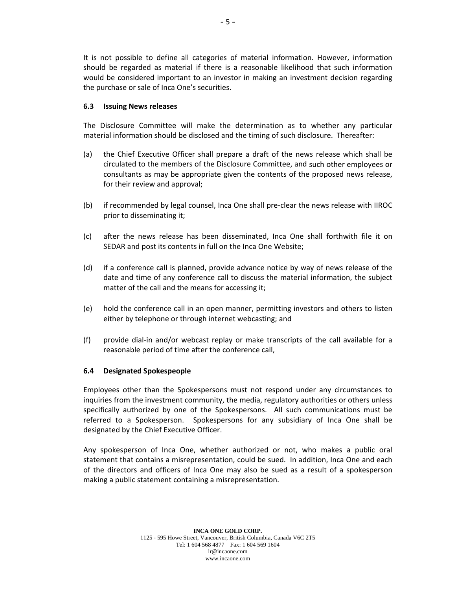It is not possible to define all categories of material information. However, information should be regarded as material if there is a reasonable likelihood that such information would be considered important to an investor in making an investment decision regarding the purchase or sale of Inca One's securities.

# **6.3 Issuing News releases**

The Disclosure Committee will make the determination as to whether any particular material information should be disclosed and the timing of such disclosure. Thereafter:

- (a) the Chief Executive Officer shall prepare a draft of the news release which shall be circulated to the members of the Disclosure Committee, and such other employees or consultants as may be appropriate given the contents of the proposed news release, for their review and approval;
- (b) if recommended by legal counsel, Inca One shall pre‐clear the news release with IIROC prior to disseminating it;
- (c) after the news release has been disseminated, Inca One shall forthwith file it on SEDAR and post its contents in full on the Inca One Website;
- (d) if a conference call is planned, provide advance notice by way of news release of the date and time of any conference call to discuss the material information, the subject matter of the call and the means for accessing it;
- (e) hold the conference call in an open manner, permitting investors and others to listen either by telephone or through internet webcasting; and
- (f) provide dial‐in and/or webcast replay or make transcripts of the call available for a reasonable period of time after the conference call,

# **6.4 Designated Spokespeople**

Employees other than the Spokespersons must not respond under any circumstances to inquiries from the investment community, the media, regulatory authorities or others unless specifically authorized by one of the Spokespersons. All such communications must be referred to a Spokesperson. Spokespersons for any subsidiary of Inca One shall be designated by the Chief Executive Officer.

Any spokesperson of Inca One, whether authorized or not, who makes a public oral statement that contains a misrepresentation, could be sued. In addition, Inca One and each of the directors and officers of Inca One may also be sued as a result of a spokesperson making a public statement containing a misrepresentation.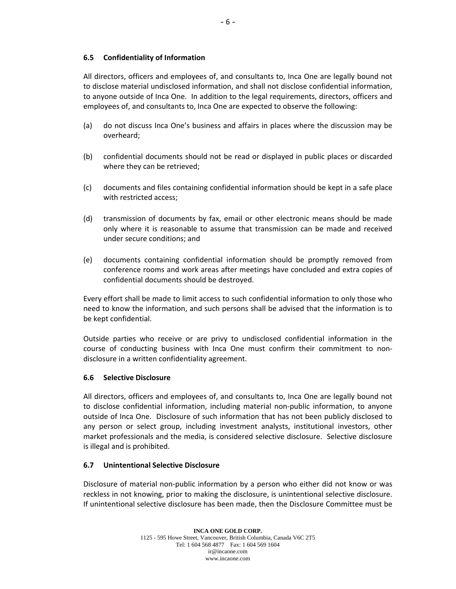All directors, officers and employees of, and consultants to, Inca One are legally bound not to disclose material undisclosed information, and shall not disclose confidential information, to anyone outside of Inca One. In addition to the legal requirements, directors, officers and employees of, and consultants to, Inca One are expected to observe the following:

- (a) do not discuss Inca One's business and affairs in places where the discussion may be overheard;
- (b) confidential documents should not be read or displayed in public places or discarded where they can be retrieved;
- (c) documents and files containing confidential information should be kept in a safe place with restricted access;
- (d) transmission of documents by fax, email or other electronic means should be made only where it is reasonable to assume that transmission can be made and received under secure conditions; and
- (e) documents containing confidential information should be promptly removed from conference rooms and work areas after meetings have concluded and extra copies of confidential documents should be destroyed.

Every effort shall be made to limit access to such confidential information to only those who need to know the information, and such persons shall be advised that the information is to be kept confidential.

Outside parties who receive or are privy to undisclosed confidential information in the course of conducting business with Inca One must confirm their commitment to non‐ disclosure in a written confidentiality agreement.

### **6.6 Selective Disclosure**

All directors, officers and employees of, and consultants to, Inca One are legally bound not to disclose confidential information, including material non‐public information, to anyone outside of Inca One. Disclosure of such information that has not been publicly disclosed to any person or select group, including investment analysts, institutional investors, other market professionals and the media, is considered selective disclosure. Selective disclosure is illegal and is prohibited.

# **6.7 Unintentional Selective Disclosure**

Disclosure of material non‐public information by a person who either did not know or was reckless in not knowing, prior to making the disclosure, is unintentional selective disclosure. If unintentional selective disclosure has been made, then the Disclosure Committee must be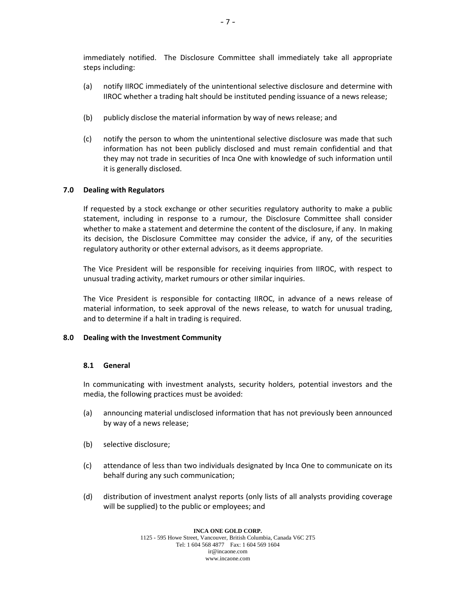immediately notified. The Disclosure Committee shall immediately take all appropriate steps including:

- (a) notify IIROC immediately of the unintentional selective disclosure and determine with IIROC whether a trading halt should be instituted pending issuance of a news release;
- (b) publicly disclose the material information by way of news release; and
- (c) notify the person to whom the unintentional selective disclosure was made that such information has not been publicly disclosed and must remain confidential and that they may not trade in securities of Inca One with knowledge of such information until it is generally disclosed.

# **7.0 Dealing with Regulators**

If requested by a stock exchange or other securities regulatory authority to make a public statement, including in response to a rumour, the Disclosure Committee shall consider whether to make a statement and determine the content of the disclosure, if any. In making its decision, the Disclosure Committee may consider the advice, if any, of the securities regulatory authority or other external advisors, as it deems appropriate.

The Vice President will be responsible for receiving inquiries from IIROC, with respect to unusual trading activity, market rumours or other similar inquiries.

The Vice President is responsible for contacting IIROC, in advance of a news release of material information, to seek approval of the news release, to watch for unusual trading, and to determine if a halt in trading is required.

# **8.0 Dealing with the Investment Community**

# **8.1 General**

In communicating with investment analysts, security holders, potential investors and the media, the following practices must be avoided:

- (a) announcing material undisclosed information that has not previously been announced by way of a news release;
- (b) selective disclosure;
- (c) attendance of less than two individuals designated by Inca One to communicate on its behalf during any such communication;
- (d) distribution of investment analyst reports (only lists of all analysts providing coverage will be supplied) to the public or employees; and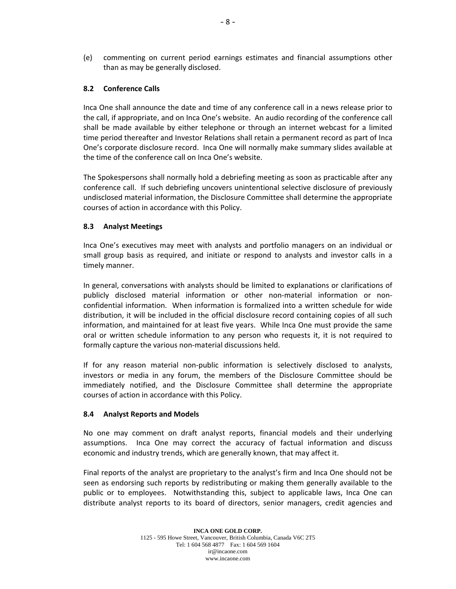(e) commenting on current period earnings estimates and financial assumptions other than as may be generally disclosed.

# **8.2 Conference Calls**

Inca One shall announce the date and time of any conference call in a news release prior to the call, if appropriate, and on Inca One's website. An audio recording of the conference call shall be made available by either telephone or through an internet webcast for a limited time period thereafter and Investor Relations shall retain a permanent record as part of Inca One's corporate disclosure record. Inca One will normally make summary slides available at the time of the conference call on Inca One's website.

The Spokespersons shall normally hold a debriefing meeting as soon as practicable after any conference call. If such debriefing uncovers unintentional selective disclosure of previously undisclosed material information, the Disclosure Committee shall determine the appropriate courses of action in accordance with this Policy.

# **8.3 Analyst Meetings**

Inca One's executives may meet with analysts and portfolio managers on an individual or small group basis as required, and initiate or respond to analysts and investor calls in a timely manner.

In general, conversations with analysts should be limited to explanations or clarifications of publicly disclosed material information or other non-material information or nonconfidential information. When information is formalized into a written schedule for wide distribution, it will be included in the official disclosure record containing copies of all such information, and maintained for at least five years. While Inca One must provide the same oral or written schedule information to any person who requests it, it is not required to formally capture the various non‐material discussions held.

If for any reason material non-public information is selectively disclosed to analysts, investors or media in any forum, the members of the Disclosure Committee should be immediately notified, and the Disclosure Committee shall determine the appropriate courses of action in accordance with this Policy.

# **8.4 Analyst Reports and Models**

No one may comment on draft analyst reports, financial models and their underlying assumptions. Inca One may correct the accuracy of factual information and discuss economic and industry trends, which are generally known, that may affect it.

Final reports of the analyst are proprietary to the analyst's firm and Inca One should not be seen as endorsing such reports by redistributing or making them generally available to the public or to employees. Notwithstanding this, subject to applicable laws, Inca One can distribute analyst reports to its board of directors, senior managers, credit agencies and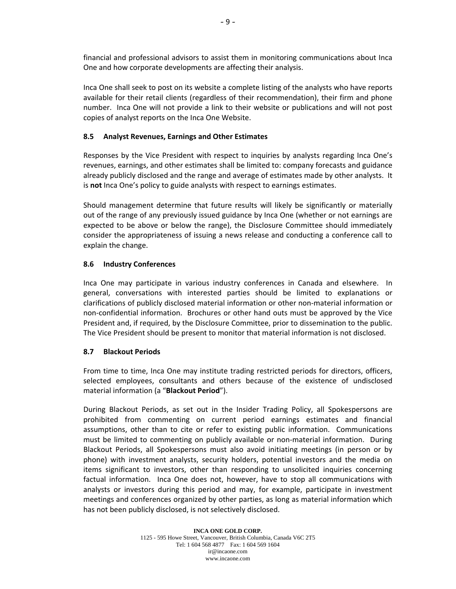financial and professional advisors to assist them in monitoring communications about Inca One and how corporate developments are affecting their analysis.

Inca One shall seek to post on its website a complete listing of the analysts who have reports available for their retail clients (regardless of their recommendation), their firm and phone number. Inca One will not provide a link to their website or publications and will not post copies of analyst reports on the Inca One Website.

# **8.5 Analyst Revenues, Earnings and Other Estimates**

Responses by the Vice President with respect to inquiries by analysts regarding Inca One's revenues, earnings, and other estimates shall be limited to: company forecasts and guidance already publicly disclosed and the range and average of estimates made by other analysts. It is **not** Inca One's policy to guide analysts with respect to earnings estimates.

Should management determine that future results will likely be significantly or materially out of the range of any previously issued guidance by Inca One (whether or not earnings are expected to be above or below the range), the Disclosure Committee should immediately consider the appropriateness of issuing a news release and conducting a conference call to explain the change.

# **8.6 Industry Conferences**

Inca One may participate in various industry conferences in Canada and elsewhere. In general, conversations with interested parties should be limited to explanations or clarifications of publicly disclosed material information or other non‐material information or non‐confidential information. Brochures or other hand outs must be approved by the Vice President and, if required, by the Disclosure Committee, prior to dissemination to the public. The Vice President should be present to monitor that material information is not disclosed.

# **8.7 Blackout Periods**

From time to time, Inca One may institute trading restricted periods for directors, officers, selected employees, consultants and others because of the existence of undisclosed material information (a "**Blackout Period**").

During Blackout Periods, as set out in the Insider Trading Policy, all Spokespersons are prohibited from commenting on current period earnings estimates and financial assumptions, other than to cite or refer to existing public information. Communications must be limited to commenting on publicly available or non‐material information. During Blackout Periods, all Spokespersons must also avoid initiating meetings (in person or by phone) with investment analysts, security holders, potential investors and the media on items significant to investors, other than responding to unsolicited inquiries concerning factual information. Inca One does not, however, have to stop all communications with analysts or investors during this period and may, for example, participate in investment meetings and conferences organized by other parties, as long as material information which has not been publicly disclosed, is not selectively disclosed.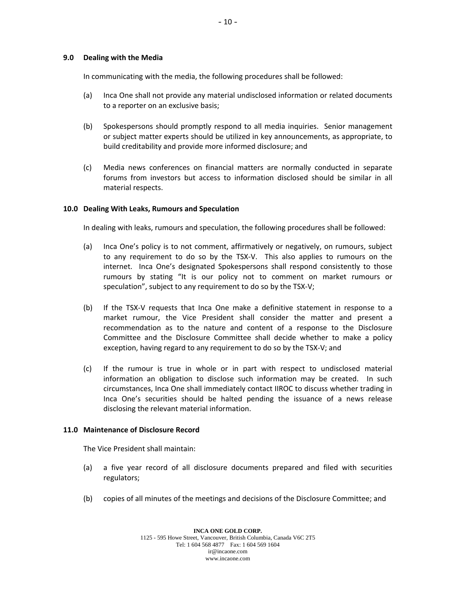### **9.0 Dealing with the Media**

In communicating with the media, the following procedures shall be followed:

- (a) Inca One shall not provide any material undisclosed information or related documents to a reporter on an exclusive basis;
- (b) Spokespersons should promptly respond to all media inquiries. Senior management or subject matter experts should be utilized in key announcements, as appropriate, to build creditability and provide more informed disclosure; and
- (c) Media news conferences on financial matters are normally conducted in separate forums from investors but access to information disclosed should be similar in all material respects.

# **10.0 Dealing With Leaks, Rumours and Speculation**

In dealing with leaks, rumours and speculation, the following procedures shall be followed:

- (a) Inca One's policy is to not comment, affirmatively or negatively, on rumours, subject to any requirement to do so by the TSX‐V. This also applies to rumours on the internet. Inca One's designated Spokespersons shall respond consistently to those rumours by stating "It is our policy not to comment on market rumours or speculation", subject to any requirement to do so by the TSX-V;
- (b) If the TSX‐V requests that Inca One make a definitive statement in response to a market rumour, the Vice President shall consider the matter and present a recommendation as to the nature and content of a response to the Disclosure Committee and the Disclosure Committee shall decide whether to make a policy exception, having regard to any requirement to do so by the TSX‐V; and
- (c) If the rumour is true in whole or in part with respect to undisclosed material information an obligation to disclose such information may be created. In such circumstances, Inca One shall immediately contact IIROC to discuss whether trading in Inca One's securities should be halted pending the issuance of a news release disclosing the relevant material information.

### **11.0 Maintenance of Disclosure Record**

The Vice President shall maintain:

- (a) a five year record of all disclosure documents prepared and filed with securities regulators;
- (b) copies of all minutes of the meetings and decisions of the Disclosure Committee; and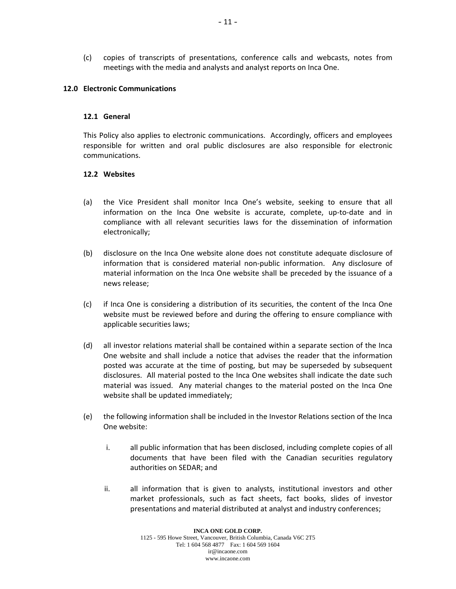(c) copies of transcripts of presentations, conference calls and webcasts, notes from meetings with the media and analysts and analyst reports on Inca One.

### **12.0 Electronic Communications**

### **12.1 General**

This Policy also applies to electronic communications. Accordingly, officers and employees responsible for written and oral public disclosures are also responsible for electronic communications.

# **12.2 Websites**

- (a) the Vice President shall monitor Inca One's website, seeking to ensure that all information on the Inca One website is accurate, complete, up‐to‐date and in compliance with all relevant securities laws for the dissemination of information electronically;
- (b) disclosure on the Inca One website alone does not constitute adequate disclosure of information that is considered material non‐public information. Any disclosure of material information on the Inca One website shall be preceded by the issuance of a news release;
- (c) if Inca One is considering a distribution of its securities, the content of the Inca One website must be reviewed before and during the offering to ensure compliance with applicable securities laws;
- (d) all investor relations material shall be contained within a separate section of the Inca One website and shall include a notice that advises the reader that the information posted was accurate at the time of posting, but may be superseded by subsequent disclosures. All material posted to the Inca One websites shall indicate the date such material was issued. Any material changes to the material posted on the Inca One website shall be updated immediately;
- (e) the following information shall be included in the Investor Relations section of the Inca One website:
	- i. all public information that has been disclosed, including complete copies of all documents that have been filed with the Canadian securities regulatory authorities on SEDAR; and
	- ii. all information that is given to analysts, institutional investors and other market professionals, such as fact sheets, fact books, slides of investor presentations and material distributed at analyst and industry conferences;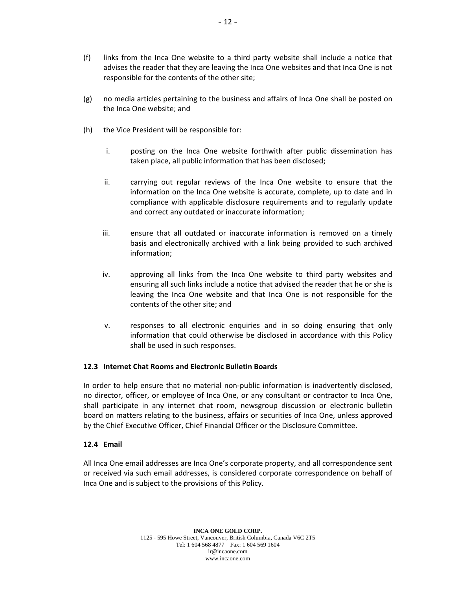- (f) links from the Inca One website to a third party website shall include a notice that advises the reader that they are leaving the Inca One websites and that Inca One is not responsible for the contents of the other site;
- (g) no media articles pertaining to the business and affairs of Inca One shall be posted on the Inca One website; and
- (h) the Vice President will be responsible for:
	- i. posting on the Inca One website forthwith after public dissemination has taken place, all public information that has been disclosed;
	- ii. carrying out regular reviews of the Inca One website to ensure that the information on the Inca One website is accurate, complete, up to date and in compliance with applicable disclosure requirements and to regularly update and correct any outdated or inaccurate information;
	- iii. ensure that all outdated or inaccurate information is removed on a timely basis and electronically archived with a link being provided to such archived information;
	- iv. approving all links from the Inca One website to third party websites and ensuring all such links include a notice that advised the reader that he or she is leaving the Inca One website and that Inca One is not responsible for the contents of the other site; and
	- v. responses to all electronic enquiries and in so doing ensuring that only information that could otherwise be disclosed in accordance with this Policy shall be used in such responses.

# **12.3 Internet Chat Rooms and Electronic Bulletin Boards**

In order to help ensure that no material non-public information is inadvertently disclosed, no director, officer, or employee of Inca One, or any consultant or contractor to Inca One, shall participate in any internet chat room, newsgroup discussion or electronic bulletin board on matters relating to the business, affairs or securities of Inca One, unless approved by the Chief Executive Officer, Chief Financial Officer or the Disclosure Committee.

# **12.4 Email**

All Inca One email addresses are Inca One's corporate property, and all correspondence sent or received via such email addresses, is considered corporate correspondence on behalf of Inca One and is subject to the provisions of this Policy.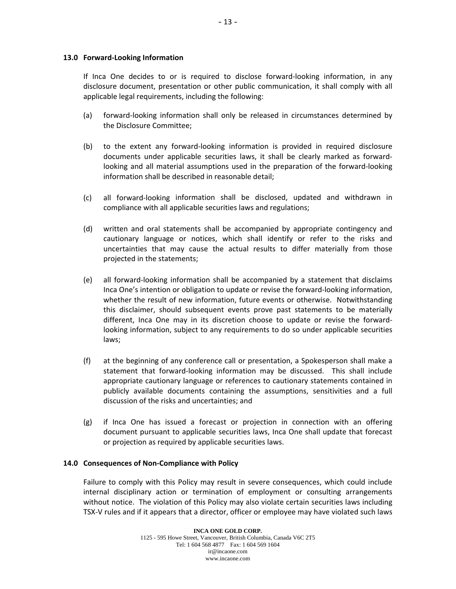### **13.0 Forward‐Looking Information**

If Inca One decides to or is required to disclose forward‐looking information, in any disclosure document, presentation or other public communication, it shall comply with all applicable legal requirements, including the following:

- (a) forward‐looking information shall only be released in circumstances determined by the Disclosure Committee;
- (b) to the extent any forward‐looking information is provided in required disclosure documents under applicable securities laws, it shall be clearly marked as forward‐ looking and all material assumptions used in the preparation of the forward‐looking information shall be described in reasonable detail;
- (c) all forward‐looking information shall be disclosed, updated and withdrawn in compliance with all applicable securities laws and regulations;
- (d) written and oral statements shall be accompanied by appropriate contingency and cautionary language or notices, which shall identify or refer to the risks and uncertainties that may cause the actual results to differ materially from those projected in the statements;
- (e) all forward‐looking information shall be accompanied by a statement that disclaims Inca One's intention or obligation to update or revise the forward‐looking information, whether the result of new information, future events or otherwise. Notwithstanding this disclaimer, should subsequent events prove past statements to be materially different, Inca One may in its discretion choose to update or revise the forward‐ looking information, subject to any requirements to do so under applicable securities laws;
- (f) at the beginning of any conference call or presentation, a Spokesperson shall make a statement that forward‐looking information may be discussed. This shall include appropriate cautionary language or references to cautionary statements contained in publicly available documents containing the assumptions, sensitivities and a full discussion of the risks and uncertainties; and
- (g) if Inca One has issued a forecast or projection in connection with an offering document pursuant to applicable securities laws, Inca One shall update that forecast or projection as required by applicable securities laws.

### **14.0 Consequences of Non‐Compliance with Policy**

Failure to comply with this Policy may result in severe consequences, which could include internal disciplinary action or termination of employment or consulting arrangements without notice. The violation of this Policy may also violate certain securities laws including TSX‐V rules and if it appears that a director, officer or employee may have violated such laws